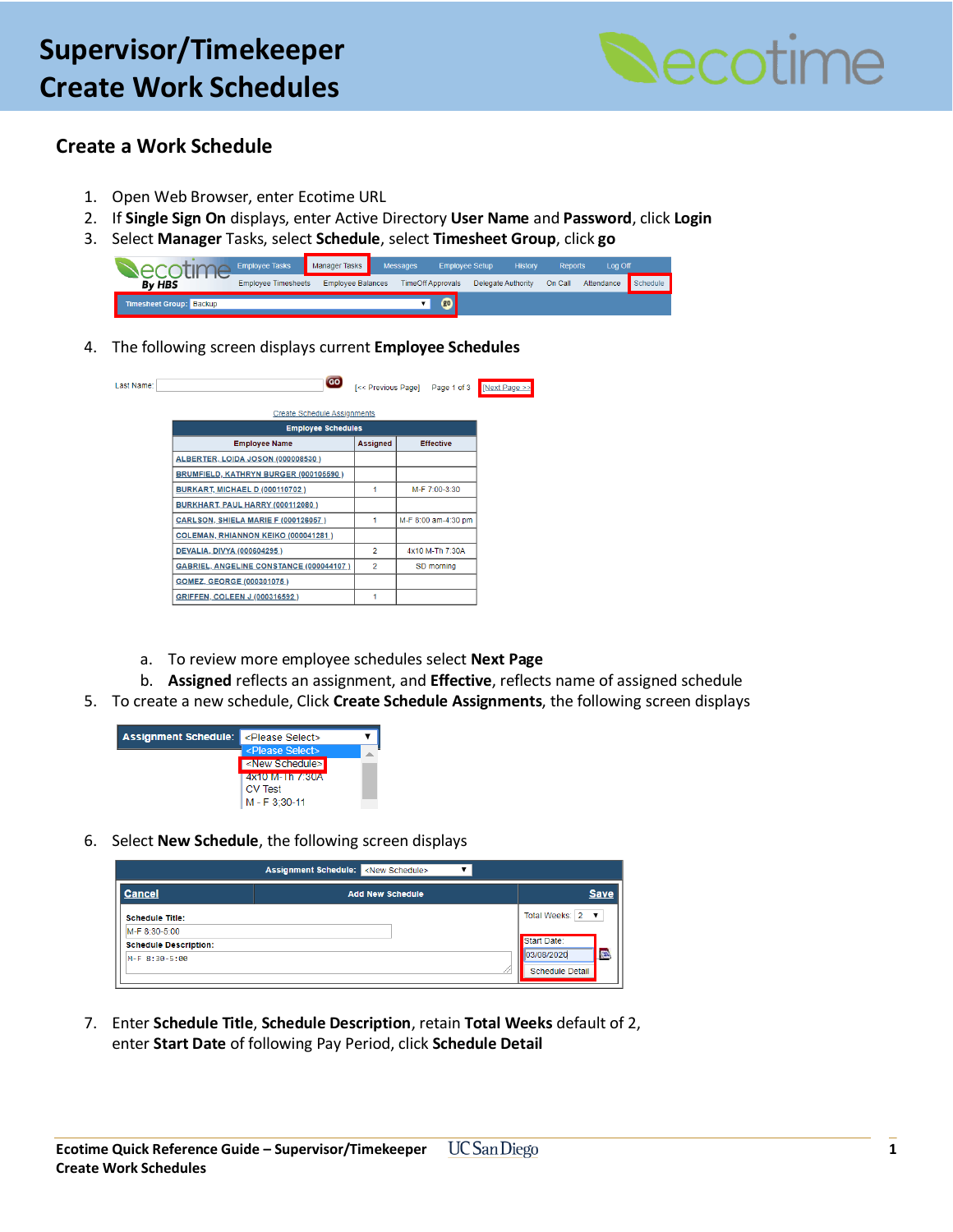### **General – Create a Position – Activity Lab Supervisor/Timekeeper Create Work Schedules**



#### **Create a Work Schedule**

- 1. Open Web Browser, enter Ecotime URL
- 2. If **Single Sign On** displays, enter Active Directory **User Name** and **Password**, click **Login**
- 3. Select **Manager** Tasks, select **Schedule**, select **Timesheet Group**, click **go**

|                                | <b>Employee Tasks</b>      | Manager Tasks            | <b>Messages</b> |                          | <b>Employee Setup</b> | <b>History</b> | <b>Reports</b> | Log Off    |          |
|--------------------------------|----------------------------|--------------------------|-----------------|--------------------------|-----------------------|----------------|----------------|------------|----------|
| <b>By HBS</b>                  | <b>Employee Timesheets</b> | <b>Employee Balances</b> |                 | <b>TimeOff Approvals</b> | Delegate Authority    |                | On Call        | Attendance | Schedule |
| <b>Timesheet Group: Backup</b> |                            |                          |                 | <b>go</b>                |                       |                |                |            |          |

4. The following screen displays current **Employee Schedules**

| Last Name: | GO                                         |                 | [<< Previous Page] Page 1 of 3 | [Next Page >> |
|------------|--------------------------------------------|-----------------|--------------------------------|---------------|
|            | <b>Create Schedule Assignments</b>         |                 |                                |               |
|            | <b>Employee Schedules</b>                  |                 |                                |               |
|            | <b>Employee Name</b>                       | <b>Assigned</b> | <b>Effective</b>               |               |
|            | ALBERTER, LOIDA JOSON (000008530)          |                 |                                |               |
|            | BRUMFIELD, KATHRYN BURGER (000105590)      |                 |                                |               |
|            | <b>BURKART, MICHAEL D (000110702)</b>      | 1               | M-F 7:00-3:30                  |               |
|            | BURKHART, PAUL HARRY (000112080)           |                 |                                |               |
|            | <b>CARLSON, SHIELA MARIE F (000126057)</b> | 1               | M-F 8:00 am-4:30 pm            |               |
|            | COLEMAN, RHIANNON KEIKO (000041281)        |                 |                                |               |
|            | DEVALIA, DIVYA (000604295)                 | $\overline{2}$  | 4x10 M-Th 7:30A                |               |
|            | GABRIEL, ANGELINE CONSTANCE (000044107)    | $\overline{2}$  | SD morning                     |               |
|            | GOMEZ, GEORGE (000301075)                  |                 |                                |               |
|            | GRIFFEN, COLEEN J (000316592)              | 1               |                                |               |

- a. To review more employee schedules select **Next Page**
- b. **Assigned** reflects an assignment, and **Effective**, reflects name of assigned schedule
- 5. To create a new schedule, Click **Create Schedule Assignments**, the following screen displays



6. Select **New Schedule**, the following screen displays

|                              | <b>Assignment Schedule:</b> <new schedule=""></new> |                         |
|------------------------------|-----------------------------------------------------|-------------------------|
| <b>Cancel</b>                | <b>Add New Schedule</b>                             | <b>Save</b>             |
| <b>Schedule Title:</b>       |                                                     | Total Weeks: $2 \times$ |
| M-F 8:30-5:00                |                                                     |                         |
| <b>Schedule Description:</b> |                                                     | Start Date:             |
| M-F 8:30-5:00                |                                                     | <b>B</b><br>03/08/2020  |
|                              |                                                     | Schedule Detail         |

7. Enter **Schedule Title**, **Schedule Description**, retain **Total Weeks** default of 2, enter **Start Date** of following Pay Period, click **Schedule Detail**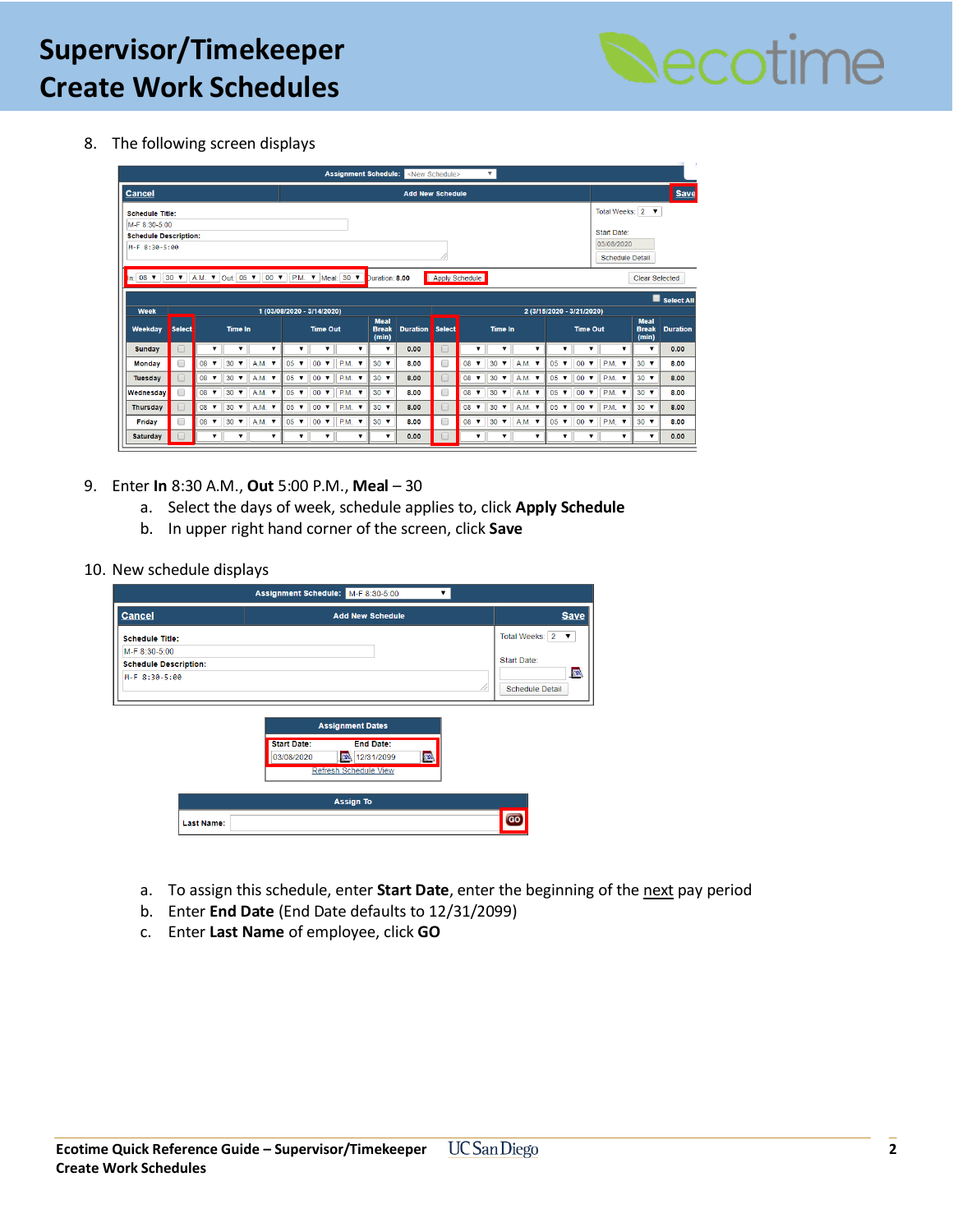# **General – Create a Position – Activity Lab Supervisor/Timekeeper Create Work Schedules**



8. The following screen displays

| <b>Assignment Schedule:</b><br>$\overline{\mathbf{v}}$<br><new schedule=""></new>                                                                                                         |                         |                           |                               |                             |   |             |   |                               |      |                      |                                      |                 |               |                            |                  |   |                             |    |                                                         |  |             |  |               |                 |             |                         |      |
|-------------------------------------------------------------------------------------------------------------------------------------------------------------------------------------------|-------------------------|---------------------------|-------------------------------|-----------------------------|---|-------------|---|-------------------------------|------|----------------------|--------------------------------------|-----------------|---------------|----------------------------|------------------|---|-----------------------------|----|---------------------------------------------------------|--|-------------|--|---------------|-----------------|-------------|-------------------------|------|
| <b>Cancel</b>                                                                                                                                                                             | <b>Add New Schedule</b> |                           |                               |                             |   |             |   |                               |      |                      |                                      |                 |               |                            | <b>Save</b>      |   |                             |    |                                                         |  |             |  |               |                 |             |                         |      |
| <b>Schedule Title:</b>                                                                                                                                                                    |                         |                           |                               |                             |   |             |   |                               |      |                      |                                      |                 |               |                            | Total Weeks: 2 ▼ |   |                             |    |                                                         |  |             |  |               |                 |             |                         |      |
| M-F 8:30-5:00                                                                                                                                                                             |                         |                           |                               |                             |   |             |   |                               |      |                      |                                      |                 |               |                            |                  |   |                             |    |                                                         |  |             |  |               |                 |             |                         |      |
| <b>Schedule Description:</b>                                                                                                                                                              |                         |                           |                               |                             |   |             |   |                               |      |                      |                                      |                 | Start Date:   |                            |                  |   |                             |    |                                                         |  |             |  |               |                 |             |                         |      |
|                                                                                                                                                                                           | M-F 8:30-5:00           |                           |                               |                             |   |             |   |                               |      |                      |                                      |                 | 03/08/2020    |                            |                  |   |                             |    |                                                         |  |             |  |               |                 |             |                         |      |
|                                                                                                                                                                                           | <b>Schedule Detail</b>  |                           |                               |                             |   |             |   |                               |      |                      |                                      |                 |               |                            |                  |   |                             |    |                                                         |  |             |  |               |                 |             |                         |      |
| $\ln 08$ $\sqrt{ }$<br>$30 \text{ V}$<br>A.M. ▼ Out: 05 ▼<br>$00 \times$<br>P.M. $\blacktriangledown$ Meal: 30 $\blacktriangledown$<br>Apply Schedule<br>Duration: 8.00<br>Clear Selected |                         |                           |                               |                             |   |             |   |                               |      |                      |                                      |                 |               |                            |                  |   |                             |    |                                                         |  |             |  |               |                 |             |                         |      |
| Select All                                                                                                                                                                                |                         |                           |                               |                             |   |             |   |                               |      |                      |                                      |                 |               |                            |                  |   |                             |    |                                                         |  |             |  |               |                 |             |                         |      |
| Week                                                                                                                                                                                      |                         |                           |                               |                             |   |             |   | 1 (03/08/2020 - 3/14/2020)    |      |                      |                                      |                 |               |                            |                  |   | 2 (3/15/2020 - 3/21/2020)   |    |                                                         |  |             |  |               |                 |             |                         |      |
| Weekday                                                                                                                                                                                   | <b>Select</b>           |                           | <b>Time In</b>                |                             |   |             |   | <b>Time Out</b>               |      |                      | <b>Meal</b><br><b>Break</b><br>(min) | <b>Duration</b> | <b>Select</b> | <b>Time In</b>             |                  |   |                             |    | <b>Meal</b><br><b>Time Out</b><br><b>Break</b><br>(min) |  |             |  |               | <b>Duration</b> |             |                         |      |
| <b>Sunday</b>                                                                                                                                                                             | u                       | ▼                         | ▼                             |                             | ▼ |             | ▼ | ▼                             |      | ▼                    | ▼                                    | 0.00            | $\Box$        | ▼                          |                  | ▼ |                             |    | $\overline{\mathbf{v}}$                                 |  | ▼           |  |               | $\mathbf{v}$    |             | $\overline{\mathbf{v}}$ | 0.00 |
| <b>Monday</b>                                                                                                                                                                             | □                       | $08$ $\blacktriangledown$ | 30<br>$\overline{\mathbf{v}}$ | $A.M.$ $\blacktriangledown$ |   | 05          | ▼ | 00<br>$\overline{\mathbf{v}}$ | P.M. | $\blacktriangledown$ | $30 \times$                          | 8.00            | □             | 08<br>$\blacktriangledown$ | $30 \times$      |   | $A.M.$ $\blacktriangledown$ | 05 | $\overline{\mathbf{v}}$                                 |  | $00 \times$ |  | $PM.$ $V$     |                 | $30 \times$ |                         | 8.00 |
| Tuesday                                                                                                                                                                                   | $\Box$                  | $08$ $\blacktriangledown$ | $30 \times$                   | $A.M.$ $\blacktriangledown$ |   | $05 \times$ |   | $00 \times$                   |      | <b>P.M. v</b>        | $30 \times$                          | 8.00            | $\Box$        | $08$ $\blacktriangledown$  | $30 \text{ V}$   |   | $A.M.$ $\blacktriangledown$ |    | $05 \times$                                             |  | $00 \times$ |  | <b>P.M. v</b> |                 | $30 \times$ |                         | 8.00 |
| Wednesdav                                                                                                                                                                                 | 0                       | $08$ $\blacktriangledown$ | $30 \times$                   | $A.M.$ $\blacktriangledown$ |   | $05 \times$ |   | $00 \times$                   |      | <b>P.M. v</b>        | $30 \times$                          | 8.00            | □             | $08$ $\blacktriangledown$  | $30 \text{ V}$   |   | $A.M.$ $\blacktriangledown$ |    | $05 \times$                                             |  | $00 \times$ |  | <b>P.M. v</b> |                 | $30 \times$ |                         | 8.00 |
| <b>Thursday</b>                                                                                                                                                                           | $\Box$                  | $08$ $\blacktriangledown$ | $30 \times$                   | $A.M.$ $\blacktriangledown$ |   | $05 \times$ |   | $00 \times$                   |      | <b>P.M. v</b>        | $30 \times$                          | 8.00            | 0             | $08$ $\blacktriangledown$  | $30 \times$      |   | $A.M.$ $\blacktriangledown$ |    | $05 \times$                                             |  | $00 \times$ |  | <b>P.M. v</b> |                 | $30 \times$ |                         | 8.00 |
| Friday                                                                                                                                                                                    | 0                       | $08$ $\blacktriangledown$ | $30 \times$                   | A.M. ▼                      |   | $05 \times$ |   | $00 \times$                   |      | <b>P.M. v</b>        | $30 \times$                          | 8.00            | □             | $08$ $\blacktriangledown$  | $30 \text{ V}$   |   | A.M. ▼                      |    | $05 \times$                                             |  | $00 \times$ |  | <b>P.M. v</b> |                 | $30 \times$ |                         | 8.00 |
|                                                                                                                                                                                           |                         |                           |                               |                             |   |             |   |                               |      |                      |                                      |                 |               |                            |                  |   |                             |    |                                                         |  |             |  |               |                 |             |                         |      |

- 9. Enter **In** 8:30 A.M., **Out** 5:00 P.M., **Meal**  30
	- a. Select the days of week, schedule applies to, click **Apply Schedule**
	- b. In upper right hand corner of the screen, click **Save**
- 10. New schedule displays

|                                                                | Assignment Schedule: M-F 8:30-5:00                                                                               |                                                     |
|----------------------------------------------------------------|------------------------------------------------------------------------------------------------------------------|-----------------------------------------------------|
| <b>Cancel</b>                                                  | <b>Add New Schedule</b>                                                                                          | <b>Save</b>                                         |
| <b>Schedule Title:</b>                                         |                                                                                                                  | Total Weeks: 2<br>$\overline{\mathbf{v}}$           |
| M-F 8:30-5:00<br><b>Schedule Description:</b><br>M-F 8:30-5:00 | //                                                                                                               | Start Date:<br><b>PER</b><br><b>Schedule Detail</b> |
|                                                                | <b>Assignment Dates</b>                                                                                          |                                                     |
|                                                                | <b>Start Date:</b><br><b>End Date:</b><br><b>CEN</b><br>12/31/2099<br>03/08/2020<br><b>Refresh Schedule View</b> |                                                     |
|                                                                |                                                                                                                  |                                                     |
|                                                                | <b>Assign To</b>                                                                                                 |                                                     |
| <b>Last Name:</b>                                              |                                                                                                                  | GO                                                  |

- a. To assign this schedule, enter **Start Date**, enter the beginning of the next pay period
- b. Enter **End Date** (End Date defaults to 12/31/2099)
- c. Enter **Last Name** of employee, click **GO**